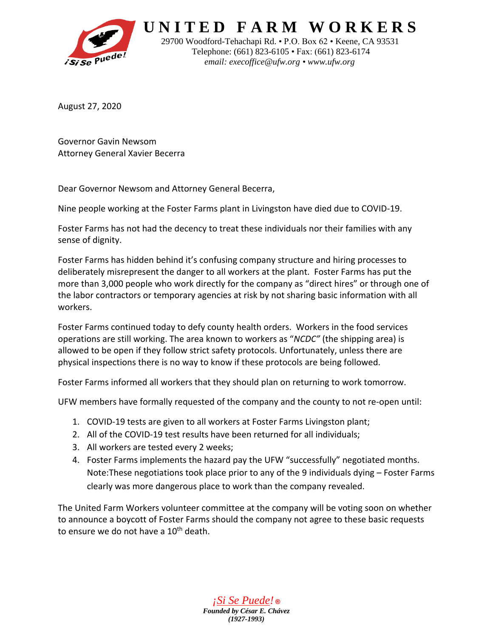

 **U N I T E D F A R M W O R K E R S**

 29700 Woodford-Tehachapi Rd. • P.O. Box 62 • Keene, CA 93531 Telephone: (661) 823-6105 • Fax: (661) 823-6174  *email: [execoffice@ufw.org](mailto:execoffice@ufw.org) • [www.ufw.org](http://www.ufw.org/)*

August 27, 2020

Governor Gavin Newsom Attorney General Xavier Becerra

Dear Governor Newsom and Attorney General Becerra,

Nine people working at the Foster Farms plant in Livingston have died due to COVID-19.

Foster Farms has not had the decency to treat these individuals nor their families with any sense of dignity.

Foster Farms has hidden behind it's confusing company structure and hiring processes to deliberately misrepresent the danger to all workers at the plant. Foster Farms has put the more than 3,000 people who work directly for the company as "direct hires" or through one of the labor contractors or temporary agencies at risk by not sharing basic information with all workers.

Foster Farms continued today to defy county health orders. Workers in the food services operations are still working. The area known to workers as "*NCDC"* (the shipping area) is allowed to be open if they follow strict safety protocols. Unfortunately, unless there are physical inspections there is no way to know if these protocols are being followed.

Foster Farms informed all workers that they should plan on returning to work tomorrow.

UFW members have formally requested of the company and the county to not re-open until:

- 1. COVID-19 tests are given to all workers at Foster Farms Livingston plant;
- 2. All of the COVID-19 test results have been returned for all individuals;
- 3. All workers are tested every 2 weeks;
- 4. Foster Farms implements the hazard pay the UFW "successfully" negotiated months. Note:These negotiations took place prior to any of the 9 individuals dying – Foster Farms clearly was more dangerous place to work than the company revealed.

The United Farm Workers volunteer committee at the company will be voting soon on whether to announce a boycott of Foster Farms should the company not agree to these basic requests to ensure we do not have a 10<sup>th</sup> death.

> *¡Si Se Puede!* **®** *Founded by César E. Chávez (1927-1993)*